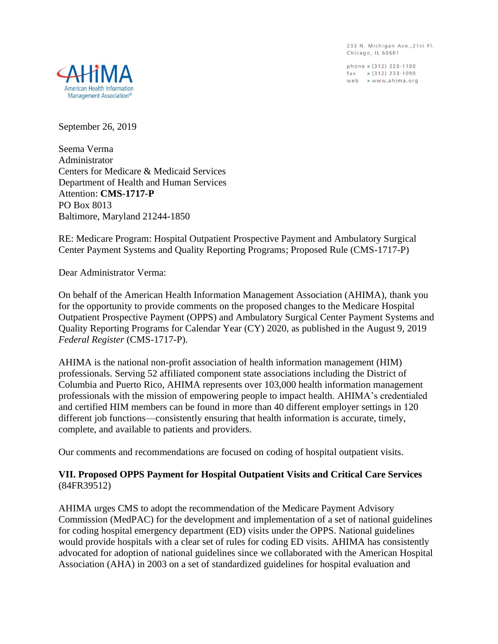233 N. Michigan Ave., 21st Fl. Chicago, IL 60601

phone » (312) 233-1100 fax » (312) 233-1090<br>web » www.ahima.org



September 26, 2019

Seema Verma Administrator Centers for Medicare & Medicaid Services Department of Health and Human Services Attention: **CMS-1717-P** PO Box 8013 Baltimore, Maryland 21244-1850

RE: Medicare Program: Hospital Outpatient Prospective Payment and Ambulatory Surgical Center Payment Systems and Quality Reporting Programs; Proposed Rule (CMS-1717-P)

Dear Administrator Verma:

On behalf of the American Health Information Management Association (AHIMA), thank you for the opportunity to provide comments on the proposed changes to the Medicare Hospital Outpatient Prospective Payment (OPPS) and Ambulatory Surgical Center Payment Systems and Quality Reporting Programs for Calendar Year (CY) 2020, as published in the August 9, 2019 *Federal Register* (CMS-1717-P).

AHIMA is the national non-profit association of health information management (HIM) professionals. Serving 52 affiliated component state associations including the District of Columbia and Puerto Rico, AHIMA represents over 103,000 health information management professionals with the mission of empowering people to impact health. AHIMA's credentialed and certified HIM members can be found in more than 40 different employer settings in 120 different job functions—consistently ensuring that health information is accurate, timely, complete, and available to patients and providers.

Our comments and recommendations are focused on coding of hospital outpatient visits.

## **VII. Proposed OPPS Payment for Hospital Outpatient Visits and Critical Care Services** (84FR39512)

AHIMA urges CMS to adopt the recommendation of the Medicare Payment Advisory Commission (MedPAC) for the development and implementation of a set of national guidelines for coding hospital emergency department (ED) visits under the OPPS. National guidelines would provide hospitals with a clear set of rules for coding ED visits. AHIMA has consistently advocated for adoption of national guidelines since we collaborated with the American Hospital Association (AHA) in 2003 on a set of standardized guidelines for hospital evaluation and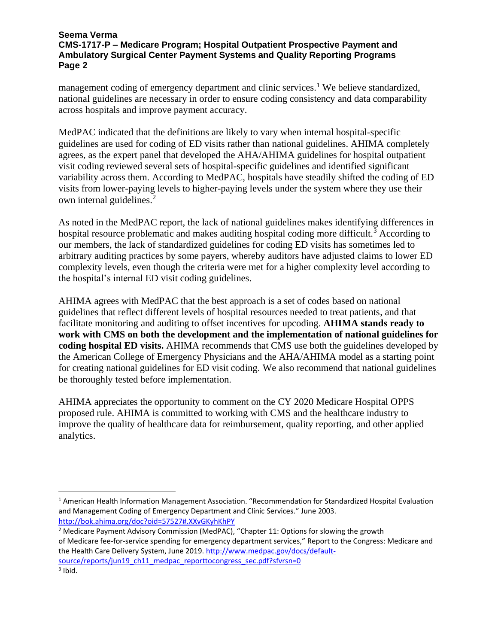## **Seema Verma CMS-1717-P – Medicare Program; Hospital Outpatient Prospective Payment and Ambulatory Surgical Center Payment Systems and Quality Reporting Programs Page 2**

management coding of emergency department and clinic services.<sup>1</sup> We believe standardized, national guidelines are necessary in order to ensure coding consistency and data comparability across hospitals and improve payment accuracy.

MedPAC indicated that the definitions are likely to vary when internal hospital-specific guidelines are used for coding of ED visits rather than national guidelines. AHIMA completely agrees, as the expert panel that developed the AHA/AHIMA guidelines for hospital outpatient visit coding reviewed several sets of hospital-specific guidelines and identified significant variability across them. According to MedPAC, hospitals have steadily shifted the coding of ED visits from lower-paying levels to higher-paying levels under the system where they use their own internal guidelines.<sup>2</sup>

As noted in the MedPAC report, the lack of national guidelines makes identifying differences in hospital resource problematic and makes auditing hospital coding more difficult.<sup>3</sup> According to our members, the lack of standardized guidelines for coding ED visits has sometimes led to arbitrary auditing practices by some payers, whereby auditors have adjusted claims to lower ED complexity levels, even though the criteria were met for a higher complexity level according to the hospital's internal ED visit coding guidelines.

AHIMA agrees with MedPAC that the best approach is a set of codes based on national guidelines that reflect different levels of hospital resources needed to treat patients, and that facilitate monitoring and auditing to offset incentives for upcoding. **AHIMA stands ready to work with CMS on both the development and the implementation of national guidelines for coding hospital ED visits.** AHIMA recommends that CMS use both the guidelines developed by the American College of Emergency Physicians and the AHA/AHIMA model as a starting point for creating national guidelines for ED visit coding. We also recommend that national guidelines be thoroughly tested before implementation.

AHIMA appreciates the opportunity to comment on the CY 2020 Medicare Hospital OPPS proposed rule. AHIMA is committed to working with CMS and the healthcare industry to improve the quality of healthcare data for reimbursement, quality reporting, and other applied analytics.

<sup>1</sup> American Health Information Management Association. "Recommendation for Standardized Hospital Evaluation and Management Coding of Emergency Department and Clinic Services." June 2003. <http://bok.ahima.org/doc?oid=57527#.XXvGKyhKhPY>

<sup>&</sup>lt;sup>2</sup> Medicare Payment Advisory Commission (MedPAC), "Chapter 11: Options for slowing the growth of Medicare fee-for-service spending for emergency department services," Report to the Congress: Medicare and the Health Care Delivery System, June 2019. [http://www.medpac.gov/docs/default](http://www.medpac.gov/docs/default-source/reports/jun19_ch11_medpac_reporttocongress_sec.pdf?sfvrsn=0)[source/reports/jun19\\_ch11\\_medpac\\_reporttocongress\\_sec.pdf?sfvrsn=0](http://www.medpac.gov/docs/default-source/reports/jun19_ch11_medpac_reporttocongress_sec.pdf?sfvrsn=0) 3 Ibid.